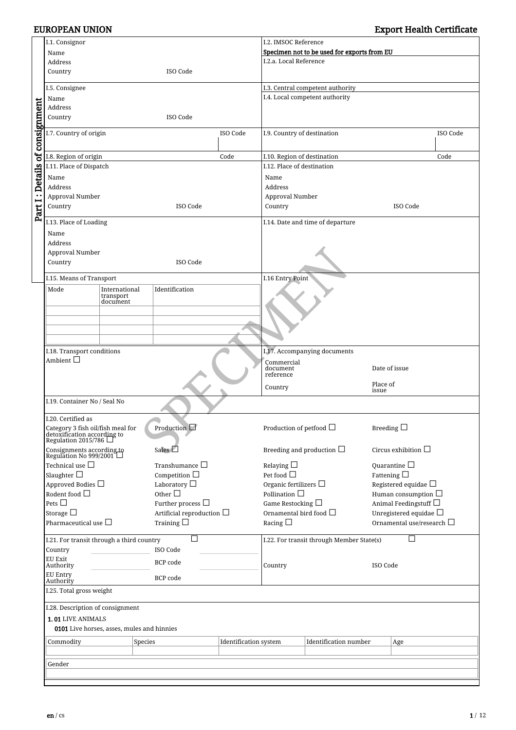|                                | I.1. Consignor                                                                                      |                       |         |                                |                              | I.2. IMSOC Reference                |                                             |                   |                                |
|--------------------------------|-----------------------------------------------------------------------------------------------------|-----------------------|---------|--------------------------------|------------------------------|-------------------------------------|---------------------------------------------|-------------------|--------------------------------|
|                                | Name                                                                                                |                       |         |                                |                              |                                     | Specimen not to be used for exports from EU |                   |                                |
|                                | Address                                                                                             |                       |         |                                |                              | I.2.a. Local Reference              |                                             |                   |                                |
|                                | Country                                                                                             |                       |         | ISO Code                       |                              |                                     |                                             |                   |                                |
|                                | I.5. Consignee                                                                                      |                       |         |                                |                              |                                     | I.3. Central competent authority            |                   |                                |
|                                | Name                                                                                                |                       |         |                                |                              |                                     | I.4. Local competent authority              |                   |                                |
|                                | Address                                                                                             |                       |         |                                |                              |                                     |                                             |                   |                                |
|                                | Country                                                                                             |                       |         | ISO Code                       |                              |                                     |                                             |                   |                                |
| Part I: Details of consignment | I.7. Country of origin<br>ISO Code                                                                  |                       |         |                                |                              | I.9. Country of destination         |                                             |                   | ISO Code                       |
|                                | I.8. Region of origin<br>Code                                                                       |                       |         |                                |                              | I.10. Region of destination         |                                             |                   | Code                           |
|                                | I.11. Place of Dispatch                                                                             |                       |         |                                |                              | I.12. Place of destination          |                                             |                   |                                |
|                                | Name                                                                                                |                       |         |                                |                              | Name                                |                                             |                   |                                |
|                                | Address                                                                                             |                       |         |                                |                              | Address                             |                                             |                   |                                |
|                                | Approval Number                                                                                     |                       |         |                                | Approval Number              |                                     |                                             |                   |                                |
|                                | Country                                                                                             |                       |         | ISO Code                       |                              | Country                             |                                             |                   | ISO Code                       |
|                                | I.13. Place of Loading                                                                              |                       |         |                                |                              |                                     | I.14. Date and time of departure            |                   |                                |
|                                | Name                                                                                                |                       |         |                                |                              |                                     |                                             |                   |                                |
|                                | Address                                                                                             |                       |         |                                |                              |                                     |                                             |                   |                                |
|                                | Approval Number                                                                                     |                       |         |                                |                              |                                     |                                             |                   |                                |
|                                | Country                                                                                             |                       |         | ISO Code                       |                              |                                     |                                             |                   |                                |
|                                |                                                                                                     |                       |         |                                |                              |                                     |                                             |                   |                                |
|                                | I.15. Means of Transport                                                                            |                       |         |                                |                              | I.16 Entry Point                    |                                             |                   |                                |
|                                | Mode                                                                                                | International         |         | Identification                 |                              |                                     |                                             |                   |                                |
|                                |                                                                                                     | transport<br>document |         |                                |                              |                                     |                                             |                   |                                |
|                                |                                                                                                     |                       |         |                                |                              |                                     |                                             |                   |                                |
|                                |                                                                                                     |                       |         |                                |                              |                                     |                                             |                   |                                |
|                                |                                                                                                     |                       |         |                                |                              |                                     |                                             |                   |                                |
|                                | I.18. Transport conditions<br>Ambient $\Box$                                                        |                       |         |                                |                              |                                     |                                             |                   |                                |
|                                |                                                                                                     |                       |         |                                |                              |                                     | I.17. Accompanying documents                |                   |                                |
|                                |                                                                                                     |                       |         |                                |                              | Commercial<br>document<br>reference |                                             |                   | Date of issue                  |
|                                |                                                                                                     |                       |         |                                |                              | Country                             |                                             | Place of<br>issue |                                |
|                                | I.19. Container No / Seal No                                                                        |                       |         |                                |                              |                                     |                                             |                   |                                |
|                                | I.20. Certified as                                                                                  |                       |         |                                |                              |                                     |                                             |                   |                                |
|                                | Category 3 fish oil/fish meal for<br>detoxification according to<br>Regulation 2015/786             |                       |         | Production $\Box$              |                              | Production of petfood $\Box$        |                                             | Breeding $\Box$   |                                |
|                                | Consignments according to<br>Regulation No 999/2001                                                 |                       |         | Sales $\Box$                   |                              |                                     | Breeding and production $\Box$              |                   | Circus exhibition $\square$    |
|                                | Technical use $\Box$                                                                                |                       |         | Transhumance $\Box$            |                              | Relaying $\Box$                     |                                             |                   | Quarantine $\Box$              |
|                                | Slaughter $\square$                                                                                 |                       |         | Competition $\Box$             |                              | Pet food $\Box$                     |                                             |                   | Fattening $\square$            |
|                                | Approved Bodies $\Box$                                                                              |                       |         | Laboratory $\Box$              |                              | Organic fertilizers $\Box$          |                                             |                   | Registered equidae $\Box$      |
|                                | Rodent food $\Box$                                                                                  |                       |         | Other $\Box$                   |                              | Pollination $\Box$                  |                                             |                   | Human consumption $\Box$       |
|                                | Pets $\square$                                                                                      |                       |         | Further process $\Box$         |                              | Game Restocking $\Box$              |                                             |                   | Animal Feedingstuff $\Box$     |
|                                | Storage $\square$                                                                                   |                       |         | Artificial reproduction $\Box$ |                              | Ornamental bird food $\Box$         |                                             |                   | Unregistered equidae $\Box$    |
|                                | Pharmaceutical use $\Box$                                                                           |                       |         | Training $\square$             |                              | Racing $\Box$                       |                                             |                   | Ornamental use/research $\Box$ |
|                                | I.21. For transit through a third country                                                           |                       |         |                                |                              |                                     | I.22. For transit through Member State(s)   |                   |                                |
|                                | Country                                                                                             |                       |         | ISO Code                       |                              |                                     |                                             |                   |                                |
|                                | EU Exit<br>BCP code                                                                                 |                       |         |                                |                              |                                     |                                             |                   |                                |
|                                | Authority<br>EU Entry                                                                               |                       |         |                                |                              | Country                             |                                             | ISO Code          |                                |
|                                | Authority                                                                                           |                       |         | BCP code                       |                              |                                     |                                             |                   |                                |
|                                | I.25. Total gross weight                                                                            |                       |         |                                |                              |                                     |                                             |                   |                                |
|                                | I.28. Description of consignment<br>1.01 LIVE ANIMALS<br>0101 Live horses, asses, mules and hinnies |                       |         |                                |                              |                                     |                                             |                   |                                |
|                                |                                                                                                     |                       |         |                                |                              |                                     |                                             |                   |                                |
|                                | Commodity                                                                                           |                       | Species |                                | <b>Identification</b> system |                                     | <b>Identification</b> number                |                   | Age                            |
|                                |                                                                                                     |                       |         |                                |                              |                                     |                                             |                   |                                |
|                                | Gender                                                                                              |                       |         |                                |                              |                                     |                                             |                   |                                |

 $\Box$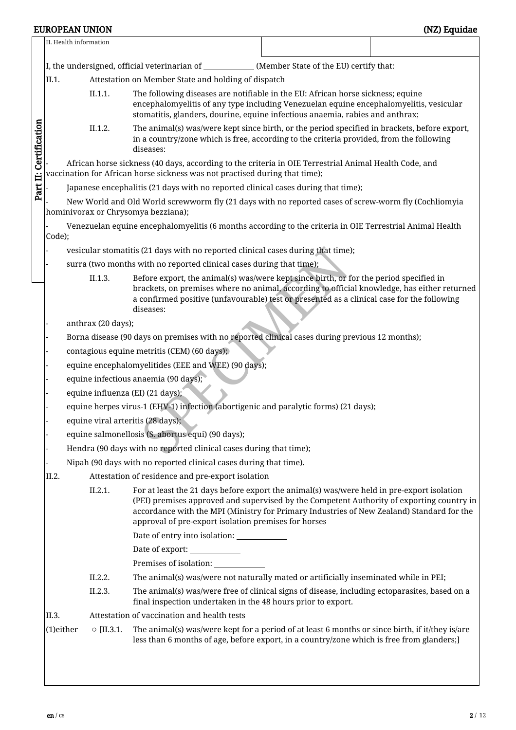|                                                                                                                                                                                                                                                                                                                                                         |                                                                                                                                                                                      |                                                                                                                                                                                                                                                                       | II. Health information |                                                                                                                                                                                                        |  |  |  |  |  |  |  |
|---------------------------------------------------------------------------------------------------------------------------------------------------------------------------------------------------------------------------------------------------------------------------------------------------------------------------------------------------------|--------------------------------------------------------------------------------------------------------------------------------------------------------------------------------------|-----------------------------------------------------------------------------------------------------------------------------------------------------------------------------------------------------------------------------------------------------------------------|------------------------|--------------------------------------------------------------------------------------------------------------------------------------------------------------------------------------------------------|--|--|--|--|--|--|--|
|                                                                                                                                                                                                                                                                                                                                                         |                                                                                                                                                                                      |                                                                                                                                                                                                                                                                       |                        | I, the undersigned, official veterinarian of _____________(Member State of the EU) certify that:                                                                                                       |  |  |  |  |  |  |  |
|                                                                                                                                                                                                                                                                                                                                                         | II.1.                                                                                                                                                                                |                                                                                                                                                                                                                                                                       |                        | Attestation on Member State and holding of dispatch                                                                                                                                                    |  |  |  |  |  |  |  |
|                                                                                                                                                                                                                                                                                                                                                         |                                                                                                                                                                                      | II.1.1.<br>The following diseases are notifiable in the EU: African horse sickness; equine<br>encephalomyelitis of any type including Venezuelan equine encephalomyelitis, vesicular<br>stomatitis, glanders, dourine, equine infectious anaemia, rabies and anthrax; |                        |                                                                                                                                                                                                        |  |  |  |  |  |  |  |
| Part II: Certification                                                                                                                                                                                                                                                                                                                                  |                                                                                                                                                                                      | The animal(s) was/were kept since birth, or the period specified in brackets, before export,<br>II.1.2.<br>in a country/zone which is free, according to the criteria provided, from the following<br>diseases:                                                       |                        |                                                                                                                                                                                                        |  |  |  |  |  |  |  |
|                                                                                                                                                                                                                                                                                                                                                         | African horse sickness (40 days, according to the criteria in OIE Terrestrial Animal Health Code, and<br>vaccination for African horse sickness was not practised during that time); |                                                                                                                                                                                                                                                                       |                        |                                                                                                                                                                                                        |  |  |  |  |  |  |  |
| Japanese encephalitis (21 days with no reported clinical cases during that time);                                                                                                                                                                                                                                                                       |                                                                                                                                                                                      |                                                                                                                                                                                                                                                                       |                        |                                                                                                                                                                                                        |  |  |  |  |  |  |  |
|                                                                                                                                                                                                                                                                                                                                                         |                                                                                                                                                                                      |                                                                                                                                                                                                                                                                       |                        | New World and Old World screwworm fly (21 days with no reported cases of screw-worm fly (Cochliomyia<br>hominivorax or Chrysomya bezziana);                                                            |  |  |  |  |  |  |  |
|                                                                                                                                                                                                                                                                                                                                                         | Code);                                                                                                                                                                               |                                                                                                                                                                                                                                                                       |                        | Venezuelan equine encephalomyelitis (6 months according to the criteria in OIE Terrestrial Animal Health                                                                                               |  |  |  |  |  |  |  |
|                                                                                                                                                                                                                                                                                                                                                         |                                                                                                                                                                                      |                                                                                                                                                                                                                                                                       |                        | vesicular stomatitis (21 days with no reported clinical cases during that time);                                                                                                                       |  |  |  |  |  |  |  |
|                                                                                                                                                                                                                                                                                                                                                         |                                                                                                                                                                                      |                                                                                                                                                                                                                                                                       |                        | surra (two months with no reported clinical cases during that time);                                                                                                                                   |  |  |  |  |  |  |  |
|                                                                                                                                                                                                                                                                                                                                                         |                                                                                                                                                                                      |                                                                                                                                                                                                                                                                       | II.1.3.                | Before export, the animal(s) was/were kept since birth, or for the period specified in                                                                                                                 |  |  |  |  |  |  |  |
|                                                                                                                                                                                                                                                                                                                                                         |                                                                                                                                                                                      |                                                                                                                                                                                                                                                                       |                        | brackets, on premises where no animal, according to official knowledge, has either returned<br>a confirmed positive (unfavourable) test or presented as a clinical case for the following<br>diseases: |  |  |  |  |  |  |  |
|                                                                                                                                                                                                                                                                                                                                                         |                                                                                                                                                                                      |                                                                                                                                                                                                                                                                       | anthrax (20 days);     |                                                                                                                                                                                                        |  |  |  |  |  |  |  |
|                                                                                                                                                                                                                                                                                                                                                         |                                                                                                                                                                                      |                                                                                                                                                                                                                                                                       |                        | Borna disease (90 days on premises with no reported clinical cases during previous 12 months);                                                                                                         |  |  |  |  |  |  |  |
|                                                                                                                                                                                                                                                                                                                                                         |                                                                                                                                                                                      |                                                                                                                                                                                                                                                                       |                        | contagious equine metritis (CEM) (60 days);                                                                                                                                                            |  |  |  |  |  |  |  |
|                                                                                                                                                                                                                                                                                                                                                         |                                                                                                                                                                                      |                                                                                                                                                                                                                                                                       |                        | equine encephalomyelitides (EEE and WEE) (90 days);                                                                                                                                                    |  |  |  |  |  |  |  |
|                                                                                                                                                                                                                                                                                                                                                         |                                                                                                                                                                                      |                                                                                                                                                                                                                                                                       |                        | equine infectious anaemia (90 days);                                                                                                                                                                   |  |  |  |  |  |  |  |
|                                                                                                                                                                                                                                                                                                                                                         |                                                                                                                                                                                      |                                                                                                                                                                                                                                                                       |                        | equine influenza (EI) (21 days);                                                                                                                                                                       |  |  |  |  |  |  |  |
|                                                                                                                                                                                                                                                                                                                                                         |                                                                                                                                                                                      |                                                                                                                                                                                                                                                                       |                        | equine herpes virus-1 (EHV-1) infection (abortigenic and paralytic forms) (21 days);                                                                                                                   |  |  |  |  |  |  |  |
|                                                                                                                                                                                                                                                                                                                                                         |                                                                                                                                                                                      |                                                                                                                                                                                                                                                                       |                        | equine viral arteritis (28 days);                                                                                                                                                                      |  |  |  |  |  |  |  |
|                                                                                                                                                                                                                                                                                                                                                         |                                                                                                                                                                                      |                                                                                                                                                                                                                                                                       |                        | equine salmonellosis (S. abortus equi) (90 days);                                                                                                                                                      |  |  |  |  |  |  |  |
|                                                                                                                                                                                                                                                                                                                                                         |                                                                                                                                                                                      |                                                                                                                                                                                                                                                                       |                        | Hendra (90 days with no reported clinical cases during that time);                                                                                                                                     |  |  |  |  |  |  |  |
|                                                                                                                                                                                                                                                                                                                                                         |                                                                                                                                                                                      |                                                                                                                                                                                                                                                                       |                        | Nipah (90 days with no reported clinical cases during that time).                                                                                                                                      |  |  |  |  |  |  |  |
|                                                                                                                                                                                                                                                                                                                                                         | II.2.                                                                                                                                                                                |                                                                                                                                                                                                                                                                       |                        | Attestation of residence and pre-export isolation                                                                                                                                                      |  |  |  |  |  |  |  |
| II.2.1.<br>For at least the 21 days before export the animal(s) was/were held in pre-export isolation<br>(PEI) premises approved and supervised by the Competent Authority of exporting country in<br>accordance with the MPI (Ministry for Primary Industries of New Zealand) Standard for the<br>approval of pre-export isolation premises for horses |                                                                                                                                                                                      |                                                                                                                                                                                                                                                                       |                        |                                                                                                                                                                                                        |  |  |  |  |  |  |  |
|                                                                                                                                                                                                                                                                                                                                                         |                                                                                                                                                                                      |                                                                                                                                                                                                                                                                       |                        | Date of entry into isolation: _____________                                                                                                                                                            |  |  |  |  |  |  |  |
|                                                                                                                                                                                                                                                                                                                                                         |                                                                                                                                                                                      |                                                                                                                                                                                                                                                                       |                        | Date of export: ____________                                                                                                                                                                           |  |  |  |  |  |  |  |
|                                                                                                                                                                                                                                                                                                                                                         |                                                                                                                                                                                      |                                                                                                                                                                                                                                                                       |                        |                                                                                                                                                                                                        |  |  |  |  |  |  |  |
|                                                                                                                                                                                                                                                                                                                                                         |                                                                                                                                                                                      |                                                                                                                                                                                                                                                                       | II.2.2.                | The animal(s) was/were not naturally mated or artificially inseminated while in PEI;                                                                                                                   |  |  |  |  |  |  |  |
|                                                                                                                                                                                                                                                                                                                                                         | II.2.3.<br>The animal(s) was/were free of clinical signs of disease, including ectoparasites, based on a<br>final inspection undertaken in the 48 hours prior to export.             |                                                                                                                                                                                                                                                                       |                        |                                                                                                                                                                                                        |  |  |  |  |  |  |  |
|                                                                                                                                                                                                                                                                                                                                                         | II.3.                                                                                                                                                                                |                                                                                                                                                                                                                                                                       |                        | Attestation of vaccination and health tests                                                                                                                                                            |  |  |  |  |  |  |  |
|                                                                                                                                                                                                                                                                                                                                                         | (1)either                                                                                                                                                                            |                                                                                                                                                                                                                                                                       | $\circ$ [II.3.1.       | The animal(s) was/were kept for a period of at least 6 months or since birth, if it/they is/are<br>less than 6 months of age, before export, in a country/zone which is free from glanders;]           |  |  |  |  |  |  |  |
|                                                                                                                                                                                                                                                                                                                                                         |                                                                                                                                                                                      |                                                                                                                                                                                                                                                                       |                        |                                                                                                                                                                                                        |  |  |  |  |  |  |  |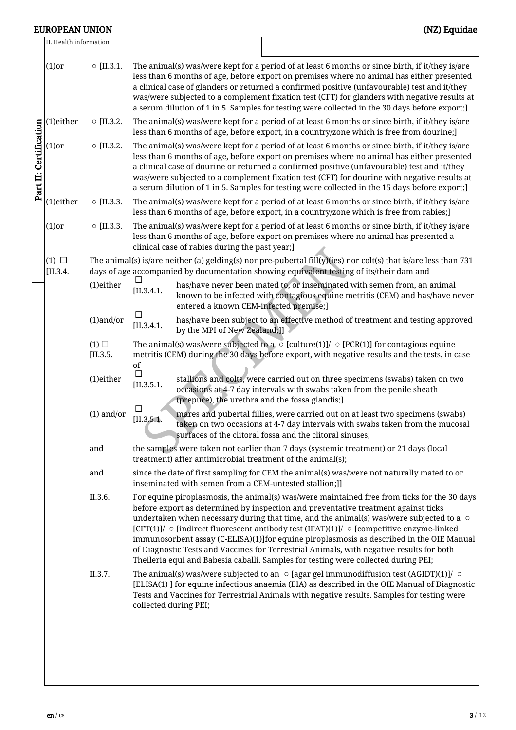|                        | II. Health information   |                             |                                                                                                                                                                                                                                                                                                                                                                                                                                                                                                                                                                                                                                                                          |
|------------------------|--------------------------|-----------------------------|--------------------------------------------------------------------------------------------------------------------------------------------------------------------------------------------------------------------------------------------------------------------------------------------------------------------------------------------------------------------------------------------------------------------------------------------------------------------------------------------------------------------------------------------------------------------------------------------------------------------------------------------------------------------------|
|                        | $(1)$ or                 | $\circ$ [II.3.1.            | The animal(s) was/were kept for a period of at least 6 months or since birth, if it/they is/are<br>less than 6 months of age, before export on premises where no animal has either presented<br>a clinical case of glanders or returned a confirmed positive (unfavourable) test and it/they<br>was/were subjected to a complement fixation test (CFT) for glanders with negative results at<br>a serum dilution of 1 in 5. Samples for testing were collected in the 30 days before export;]                                                                                                                                                                            |
|                        | (1)either                | $\circ$ [II.3.2.            | The animal(s) was/were kept for a period of at least 6 months or since birth, if it/they is/are<br>less than 6 months of age, before export, in a country/zone which is free from dourine;]                                                                                                                                                                                                                                                                                                                                                                                                                                                                              |
| Part II: Certification | $(1)$ or                 | $\circ$ [II.3.2.            | The animal(s) was/were kept for a period of at least 6 months or since birth, if it/they is/are<br>less than 6 months of age, before export on premises where no animal has either presented<br>a clinical case of dourine or returned a confirmed positive (unfavourable) test and it/they<br>was/were subjected to a complement fixation test (CFT) for dourine with negative results at<br>a serum dilution of 1 in 5. Samples for testing were collected in the 15 days before export;]                                                                                                                                                                              |
|                        | (1)either                | $\circ$ [II.3.3.            | The animal(s) was/were kept for a period of at least 6 months or since birth, if it/they is/are<br>less than 6 months of age, before export, in a country/zone which is free from rabies;]                                                                                                                                                                                                                                                                                                                                                                                                                                                                               |
|                        | $(1)$ or                 | $\circ$ [II.3.3.            | The animal(s) was/were kept for a period of at least 6 months or since birth, if it/they is/are<br>less than 6 months of age, before export on premises where no animal has presented a<br>clinical case of rabies during the past year;]                                                                                                                                                                                                                                                                                                                                                                                                                                |
|                        | $(1)$ $\Box$<br>[II.3.4] |                             | The animal(s) is/are neither (a) gelding(s) nor pre-pubertal fill(y)(ies) nor colt(s) that is/are less than 731<br>days of age accompanied by documentation showing equivalent testing of its/their dam and                                                                                                                                                                                                                                                                                                                                                                                                                                                              |
|                        |                          | (1)either                   | has/have never been mated to, or inseminated with semen from, an animal<br>[II.3.4.1]<br>known to be infected with contagious equine metritis (CEM) and has/have never<br>entered a known CEM-infected premise;]                                                                                                                                                                                                                                                                                                                                                                                                                                                         |
|                        |                          | $(1)$ and/or                | П<br>has/have been subject to an effective method of treatment and testing approved<br>[II.3.4.1]<br>by the MPI of New Zealand;]]                                                                                                                                                                                                                                                                                                                                                                                                                                                                                                                                        |
|                        |                          | $(1)$ $\square$<br>[II.3.5] | The animal(s) was/were subjected to a $\circ$ [culture(1)]/ $\circ$ [PCR(1)] for contagious equine<br>metritis (CEM) during the 30 days before export, with negative results and the tests, in case<br>of                                                                                                                                                                                                                                                                                                                                                                                                                                                                |
|                        |                          | (1)either                   | П<br>stallions and colts, were carried out on three specimens (swabs) taken on two<br>[II.3.5.1]<br>occasions at 4-7 day intervals with swabs taken from the penile sheath<br>(prepuce), the urethra and the fossa glandis;]                                                                                                                                                                                                                                                                                                                                                                                                                                             |
|                        |                          | $(1)$ and/or                | mares and pubertal fillies, were carried out on at least two specimens (swabs)<br>[II.3.5.1]<br>taken on two occasions at 4-7 day intervals with swabs taken from the mucosal<br>surfaces of the clitoral fossa and the clitoral sinuses;                                                                                                                                                                                                                                                                                                                                                                                                                                |
|                        |                          | and                         | the samples were taken not earlier than 7 days (systemic treatment) or 21 days (local<br>treatment) after antimicrobial treatment of the animal(s);                                                                                                                                                                                                                                                                                                                                                                                                                                                                                                                      |
|                        |                          | and                         | since the date of first sampling for CEM the animal(s) was/were not naturally mated to or<br>inseminated with semen from a CEM-untested stallion;]]                                                                                                                                                                                                                                                                                                                                                                                                                                                                                                                      |
|                        |                          | II.3.6.                     | For equine piroplasmosis, the animal(s) was/were maintained free from ticks for the 30 days<br>before export as determined by inspection and preventative treatment against ticks<br>undertaken when necessary during that time, and the animal(s) was/were subjected to a $\circ$<br>$[CFT(1)]/ \circ$ [indirect fluorescent antibody test (IFAT)(1)]/ $\circ$ [competitive enzyme-linked<br>immunosorbent assay (C-ELISA)(1)]for equine piroplasmosis as described in the OIE Manual<br>of Diagnostic Tests and Vaccines for Terrestrial Animals, with negative results for both<br>Theileria equi and Babesia caballi. Samples for testing were collected during PEI; |
|                        |                          | II.3.7.                     | The animal(s) was/were subjected to an $\circ$ [agar gel immunodiffusion test (AGIDT)(1)]/ $\circ$<br>[ELISA(1)] for equine infectious anaemia (EIA) as described in the OIE Manual of Diagnostic<br>Tests and Vaccines for Terrestrial Animals with negative results. Samples for testing were<br>collected during PEI;                                                                                                                                                                                                                                                                                                                                                 |
|                        |                          |                             |                                                                                                                                                                                                                                                                                                                                                                                                                                                                                                                                                                                                                                                                          |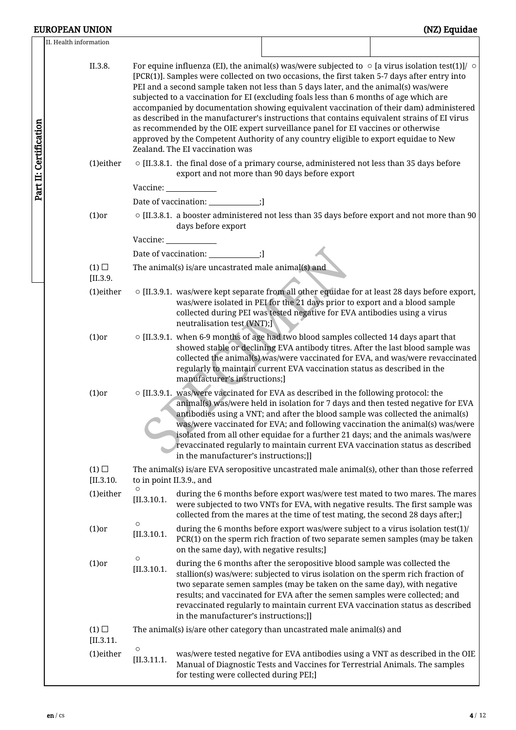II.  $\,$ 

| Health information            |                        |                                                                                                      |                                                                                                                                                                                                                                                                                                                                                                                                                                                                                                                                                                                                                                                                                                                                                                     |  |  |
|-------------------------------|------------------------|------------------------------------------------------------------------------------------------------|---------------------------------------------------------------------------------------------------------------------------------------------------------------------------------------------------------------------------------------------------------------------------------------------------------------------------------------------------------------------------------------------------------------------------------------------------------------------------------------------------------------------------------------------------------------------------------------------------------------------------------------------------------------------------------------------------------------------------------------------------------------------|--|--|
| II.3.8.                       |                        | Zealand. The EI vaccination was                                                                      | For equine influenza (EI), the animal(s) was/were subjected to $\circ$ [a virus isolation test(1)]/ $\circ$<br>[PCR(1)]. Samples were collected on two occasions, the first taken 5-7 days after entry into<br>PEI and a second sample taken not less than 5 days later, and the animal(s) was/were<br>subjected to a vaccination for EI (excluding foals less than 6 months of age which are<br>accompanied by documentation showing equivalent vaccination of their dam) administered<br>as described in the manufacturer's instructions that contains equivalent strains of EI virus<br>as recommended by the OIE expert surveillance panel for EI vaccines or otherwise<br>approved by the Competent Authority of any country eligible to export equidae to New |  |  |
| (1)either                     |                        |                                                                                                      | $\circ$ [II.3.8.1. the final dose of a primary course, administered not less than 35 days before<br>export and not more than 90 days before export                                                                                                                                                                                                                                                                                                                                                                                                                                                                                                                                                                                                                  |  |  |
|                               |                        | Vaccine: University of the University of the University of the University of the University of the U |                                                                                                                                                                                                                                                                                                                                                                                                                                                                                                                                                                                                                                                                                                                                                                     |  |  |
|                               |                        | Date of vaccination: _____________;]                                                                 |                                                                                                                                                                                                                                                                                                                                                                                                                                                                                                                                                                                                                                                                                                                                                                     |  |  |
| $(1)$ or                      |                        | days before export                                                                                   | $\circ$ [II.3.8.1. a booster administered not less than 35 days before export and not more than 90                                                                                                                                                                                                                                                                                                                                                                                                                                                                                                                                                                                                                                                                  |  |  |
|                               |                        |                                                                                                      |                                                                                                                                                                                                                                                                                                                                                                                                                                                                                                                                                                                                                                                                                                                                                                     |  |  |
|                               |                        | Date of vaccination: _____________;]                                                                 |                                                                                                                                                                                                                                                                                                                                                                                                                                                                                                                                                                                                                                                                                                                                                                     |  |  |
| $(1)$ $\square$<br>[II.3.9]   |                        | The animal(s) is/are uncastrated male animal(s) and                                                  |                                                                                                                                                                                                                                                                                                                                                                                                                                                                                                                                                                                                                                                                                                                                                                     |  |  |
| (1)either                     |                        | neutralisation test (VNT);]                                                                          | $\circ$ [II.3.9.1. was/were kept separate from all other equidae for at least 28 days before export,<br>was/were isolated in PEI for the 21 days prior to export and a blood sample<br>collected during PEI was tested negative for EVA antibodies using a virus                                                                                                                                                                                                                                                                                                                                                                                                                                                                                                    |  |  |
| $(1)$ or                      |                        | manufacturer's instructions;]                                                                        | o [II.3.9.1. when 6-9 months of age had two blood samples collected 14 days apart that<br>showed stable or declining EVA antibody titres. After the last blood sample was<br>collected the animal(s) was/were vaccinated for EVA, and was/were revaccinated<br>regularly to maintain current EVA vaccination status as described in the                                                                                                                                                                                                                                                                                                                                                                                                                             |  |  |
| $(1)$ or                      |                        | in the manufacturer's instructions;]]                                                                | $\circ$ [II.3.9.1. was/were vaccinated for EVA as described in the following protocol: the<br>animal(s) was/were held in isolation for 7 days and then tested negative for EVA<br>antibodies using a VNT; and after the blood sample was collected the animal(s)<br>was/were vaccinated for EVA; and following vaccination the animal(s) was/were<br>isolated from all other equidae for a further 21 days; and the animals was/were<br>revaccinated regularly to maintain current EVA vaccination status as described                                                                                                                                                                                                                                              |  |  |
| $(1)$ $\square$<br>[II.3.10.] |                        | to in point II.3.9., and                                                                             | The animal(s) is/are EVA seropositive uncastrated male animal(s), other than those referred                                                                                                                                                                                                                                                                                                                                                                                                                                                                                                                                                                                                                                                                         |  |  |
| (1)either                     | $\circ$<br>[II.3.10.1] |                                                                                                      | during the 6 months before export was/were test mated to two mares. The mares<br>were subjected to two VNTs for EVA, with negative results. The first sample was<br>collected from the mares at the time of test mating, the second 28 days after;]                                                                                                                                                                                                                                                                                                                                                                                                                                                                                                                 |  |  |
| $(1)$ or                      | $\circ$<br>[II.3.10.1] | on the same day), with negative results;]                                                            | during the 6 months before export was/were subject to a virus isolation test(1)/<br>PCR(1) on the sperm rich fraction of two separate semen samples (may be taken                                                                                                                                                                                                                                                                                                                                                                                                                                                                                                                                                                                                   |  |  |
| $(1)$ or                      | $\circ$<br>[II.3.10.1] | in the manufacturer's instructions;]]                                                                | during the 6 months after the seropositive blood sample was collected the<br>stallion(s) was/were: subjected to virus isolation on the sperm rich fraction of<br>two separate semen samples (may be taken on the same day), with negative<br>results; and vaccinated for EVA after the semen samples were collected; and<br>revaccinated regularly to maintain current EVA vaccination status as described                                                                                                                                                                                                                                                                                                                                                          |  |  |
| $(1)$ $\square$<br>[II.3.11]  |                        |                                                                                                      | The animal(s) is/are other category than uncastrated male animal(s) and                                                                                                                                                                                                                                                                                                                                                                                                                                                                                                                                                                                                                                                                                             |  |  |
| (1)either                     | $\circ$<br>[II.3.11.1] | for testing were collected during PEI;]                                                              | was/were tested negative for EVA antibodies using a VNT as described in the OIE<br>Manual of Diagnostic Tests and Vaccines for Terrestrial Animals. The samples                                                                                                                                                                                                                                                                                                                                                                                                                                                                                                                                                                                                     |  |  |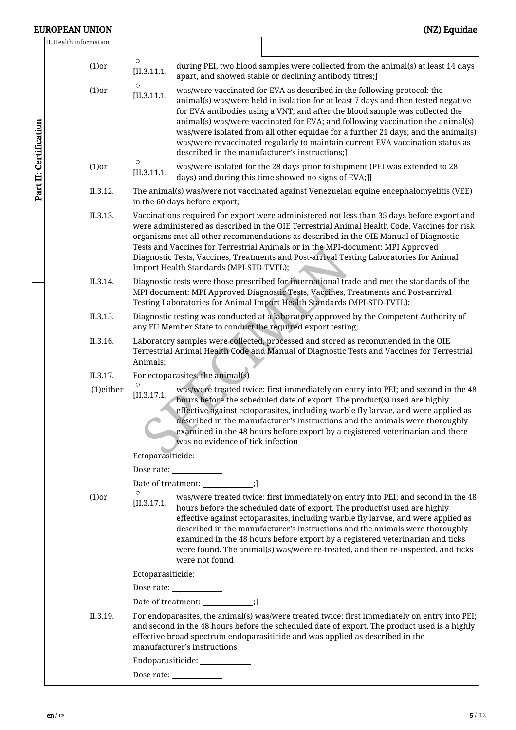|                        | II. Health information |                        |                                                       |                                                                                                                                                                                                                                                                                                                                                                                                                                                                                                      |                                                                                               |  |  |  |
|------------------------|------------------------|------------------------|-------------------------------------------------------|------------------------------------------------------------------------------------------------------------------------------------------------------------------------------------------------------------------------------------------------------------------------------------------------------------------------------------------------------------------------------------------------------------------------------------------------------------------------------------------------------|-----------------------------------------------------------------------------------------------|--|--|--|
|                        | $(1)$ or               | $\circ$<br>[II.3.11.1] |                                                       | during PEI, two blood samples were collected from the animal(s) at least 14 days<br>apart, and showed stable or declining antibody titres;]                                                                                                                                                                                                                                                                                                                                                          |                                                                                               |  |  |  |
| Part II: Certification | $(1)$ or               | $\circ$<br>[II.3.11.1] | described in the manufacturer's instructions;]        | was/were vaccinated for EVA as described in the following protocol: the<br>animal(s) was/were held in isolation for at least 7 days and then tested negative<br>for EVA antibodies using a VNT; and after the blood sample was collected the<br>animal(s) was/were vaccinated for EVA; and following vaccination the animal(s)<br>was/were isolated from all other equidae for a further 21 days; and the animal(s)<br>was/were revaccinated regularly to maintain current EVA vaccination status as |                                                                                               |  |  |  |
|                        | $(1)$ or               | $\circ$<br>[II.3.11.1] |                                                       | was/were isolated for the 28 days prior to shipment (PEI was extended to 28<br>days) and during this time showed no signs of EVA;]]                                                                                                                                                                                                                                                                                                                                                                  |                                                                                               |  |  |  |
|                        | II.3.12.               |                        | in the 60 days before export;                         | The animal(s) was/were not vaccinated against Venezuelan equine encephalomyelitis (VEE)                                                                                                                                                                                                                                                                                                                                                                                                              |                                                                                               |  |  |  |
|                        | II.3.13.               |                        | Import Health Standards (MPI-STD-TVTL);               | Vaccinations required for export were administered not less than 35 days before export and<br>were administered as described in the OIE Terrestrial Animal Health Code. Vaccines for risk<br>organisms met all other recommendations as described in the OIE Manual of Diagnostic<br>Tests and Vaccines for Terrestrial Animals or in the MPI-document: MPI Approved<br>Diagnostic Tests, Vaccines, Treatments and Post-arrival Testing Laboratories for Animal                                      |                                                                                               |  |  |  |
|                        | II.3.14.               |                        |                                                       | Diagnostic tests were those prescribed for international trade and met the standards of the<br>MPI document: MPI Approved Diagnostic Tests, Vaccines, Treatments and Post-arrival<br>Testing Laboratories for Animal Import Health Standards (MPI-STD-TVTL);                                                                                                                                                                                                                                         |                                                                                               |  |  |  |
|                        | II.3.15.               |                        |                                                       | Diagnostic testing was conducted at a laboratory approved by the Competent Authority of<br>any EU Member State to conduct the required export testing;                                                                                                                                                                                                                                                                                                                                               |                                                                                               |  |  |  |
|                        | II.3.16.               | Animals;               |                                                       | Laboratory samples were collected, processed and stored as recommended in the OIE<br>Terrestrial Animal Health Code and Manual of Diagnostic Tests and Vaccines for Terrestrial                                                                                                                                                                                                                                                                                                                      |                                                                                               |  |  |  |
|                        | II.3.17.               |                        | For ectoparasites, the animal(s)                      |                                                                                                                                                                                                                                                                                                                                                                                                                                                                                                      |                                                                                               |  |  |  |
|                        | (1)either              | [II.3.17.1]            | was no evidence of tick infection                     | hours before the scheduled date of export. The product(s) used are highly<br>effective against ectoparasites, including warble fly larvae, and were applied as<br>described in the manufacturer's instructions and the animals were thoroughly<br>examined in the 48 hours before export by a registered veterinarian and there                                                                                                                                                                      | was/were treated twice: first immediately on entry into PEI; and second in the 48             |  |  |  |
|                        |                        |                        | Ectoparasiticide: ____________                        |                                                                                                                                                                                                                                                                                                                                                                                                                                                                                                      |                                                                                               |  |  |  |
|                        |                        |                        | Dose rate:                                            |                                                                                                                                                                                                                                                                                                                                                                                                                                                                                                      |                                                                                               |  |  |  |
|                        |                        |                        | Date of treatment: _____________;]                    |                                                                                                                                                                                                                                                                                                                                                                                                                                                                                                      |                                                                                               |  |  |  |
|                        | $(1)$ or               | $\circ$<br>[II.3.17.1] | were not found                                        | hours before the scheduled date of export. The product(s) used are highly<br>effective against ectoparasites, including warble fly larvae, and were applied as<br>described in the manufacturer's instructions and the animals were thoroughly<br>examined in the 48 hours before export by a registered veterinarian and ticks<br>were found. The animal(s) was/were re-treated, and then re-inspected, and ticks                                                                                   | was/were treated twice: first immediately on entry into PEI; and second in the 48             |  |  |  |
|                        |                        |                        | Ectoparasiticide: _____________                       |                                                                                                                                                                                                                                                                                                                                                                                                                                                                                                      |                                                                                               |  |  |  |
|                        |                        |                        | Dose rate: $\_\_\_\_\_\_\_\_\_\_\_\_\_\_\_\_\_\_\_\_$ |                                                                                                                                                                                                                                                                                                                                                                                                                                                                                                      |                                                                                               |  |  |  |
|                        |                        |                        | Date of treatment: _____________;]                    |                                                                                                                                                                                                                                                                                                                                                                                                                                                                                                      |                                                                                               |  |  |  |
|                        | II.3.19.               |                        | manufacturer's instructions                           | and second in the 48 hours before the scheduled date of export. The product used is a highly<br>effective broad spectrum endoparasiticide and was applied as described in the                                                                                                                                                                                                                                                                                                                        | For endoparasites, the animal(s) was/were treated twice: first immediately on entry into PEI; |  |  |  |
|                        |                        |                        | Endoparasiticide: ____________                        |                                                                                                                                                                                                                                                                                                                                                                                                                                                                                                      |                                                                                               |  |  |  |
|                        |                        |                        |                                                       |                                                                                                                                                                                                                                                                                                                                                                                                                                                                                                      |                                                                                               |  |  |  |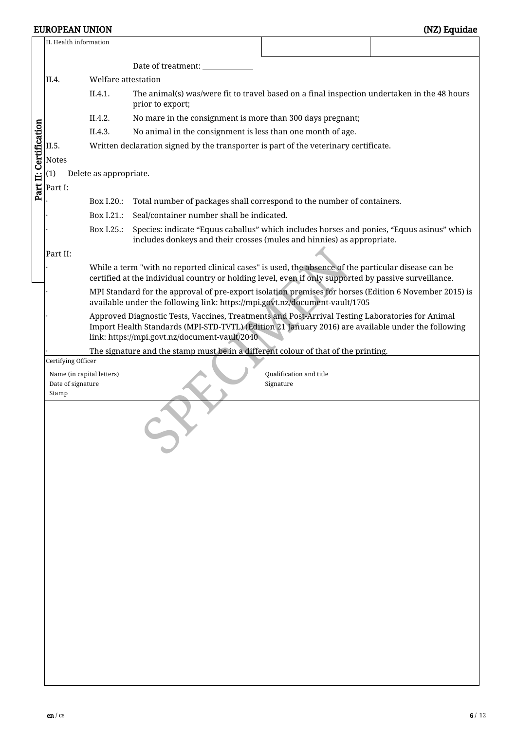|                        | II. Health information                                                        |                                                                                      |                                                                                                                                                                                                                                                         |                                      |  |  |  |  |  |  |
|------------------------|-------------------------------------------------------------------------------|--------------------------------------------------------------------------------------|---------------------------------------------------------------------------------------------------------------------------------------------------------------------------------------------------------------------------------------------------------|--------------------------------------|--|--|--|--|--|--|
|                        |                                                                               |                                                                                      | Date of treatment: _______                                                                                                                                                                                                                              |                                      |  |  |  |  |  |  |
|                        | II.4.                                                                         | Welfare attestation                                                                  |                                                                                                                                                                                                                                                         |                                      |  |  |  |  |  |  |
|                        |                                                                               | II.4.1.                                                                              | The animal(s) was/were fit to travel based on a final inspection undertaken in the 48 hours<br>prior to export;                                                                                                                                         |                                      |  |  |  |  |  |  |
|                        |                                                                               | II.4.2.                                                                              | No mare in the consignment is more than 300 days pregnant;                                                                                                                                                                                              |                                      |  |  |  |  |  |  |
| Part II: Certification |                                                                               | II.4.3.                                                                              | No animal in the consignment is less than one month of age.                                                                                                                                                                                             |                                      |  |  |  |  |  |  |
|                        | II.5.                                                                         | Written declaration signed by the transporter is part of the veterinary certificate. |                                                                                                                                                                                                                                                         |                                      |  |  |  |  |  |  |
|                        | <b>Notes</b>                                                                  |                                                                                      |                                                                                                                                                                                                                                                         |                                      |  |  |  |  |  |  |
|                        | (1)                                                                           | Delete as appropriate.                                                               |                                                                                                                                                                                                                                                         |                                      |  |  |  |  |  |  |
|                        | Part I:                                                                       |                                                                                      |                                                                                                                                                                                                                                                         |                                      |  |  |  |  |  |  |
|                        |                                                                               | Box I.20.:                                                                           | Total number of packages shall correspond to the number of containers.                                                                                                                                                                                  |                                      |  |  |  |  |  |  |
|                        |                                                                               | Box I.21.:                                                                           | Seal/container number shall be indicated.                                                                                                                                                                                                               |                                      |  |  |  |  |  |  |
|                        |                                                                               | Box I.25.:                                                                           | Species: indicate "Equus caballus" which includes horses and ponies, "Equus asinus" which<br>includes donkeys and their crosses (mules and hinnies) as appropriate.                                                                                     |                                      |  |  |  |  |  |  |
|                        | Part II:                                                                      |                                                                                      |                                                                                                                                                                                                                                                         |                                      |  |  |  |  |  |  |
|                        |                                                                               |                                                                                      | While a term "with no reported clinical cases" is used, the absence of the particular disease can be<br>certified at the individual country or holding level, even if only supported by passive surveillance.                                           |                                      |  |  |  |  |  |  |
|                        |                                                                               |                                                                                      | MPI Standard for the approval of pre-export isolation premises for horses (Edition 6 November 2015) is<br>available under the following link: https://mpi.govt.nz/document-vault/1705                                                                   |                                      |  |  |  |  |  |  |
|                        |                                                                               |                                                                                      | Approved Diagnostic Tests, Vaccines, Treatments and Post-Arrival Testing Laboratories for Animal<br>Import Health Standards (MPI-STD-TVTL) (Edition 21 January 2016) are available under the following<br>link: https://mpi.govt.nz/document-vault/2040 |                                      |  |  |  |  |  |  |
|                        |                                                                               |                                                                                      | The signature and the stamp must be in a different colour of that of the printing.                                                                                                                                                                      |                                      |  |  |  |  |  |  |
|                        | Certifying Officer<br>Name (in capital letters)<br>Date of signature<br>Stamp |                                                                                      |                                                                                                                                                                                                                                                         | Qualification and title<br>Signature |  |  |  |  |  |  |
|                        |                                                                               |                                                                                      |                                                                                                                                                                                                                                                         |                                      |  |  |  |  |  |  |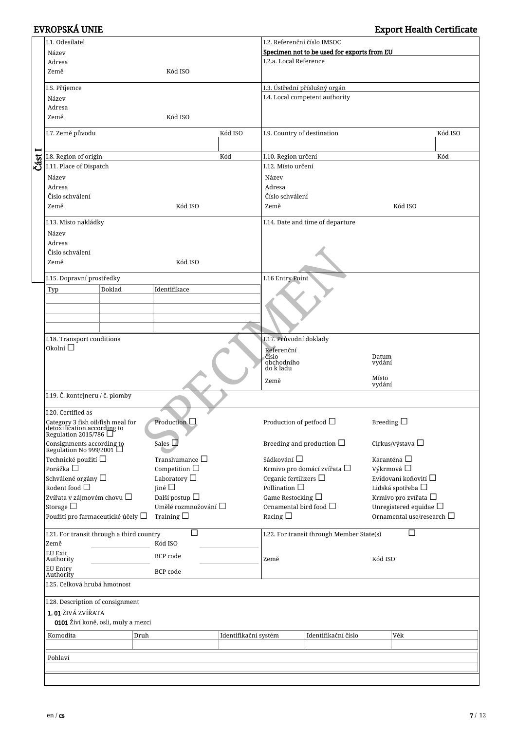|        | I.1. Odesílatel                                                                                |                      | I.2. Referenční číslo IMSOC   |                                             |                                           |                    |                                |
|--------|------------------------------------------------------------------------------------------------|----------------------|-------------------------------|---------------------------------------------|-------------------------------------------|--------------------|--------------------------------|
|        | Název                                                                                          |                      |                               | Specimen not to be used for exports from EU |                                           |                    |                                |
|        | Adresa                                                                                         |                      | I.2.a. Local Reference        |                                             |                                           |                    |                                |
|        | Země                                                                                           | Kód ISO              |                               |                                             |                                           |                    |                                |
|        | I.5. Příjemce                                                                                  |                      | I.3. Ústřední příslušný orgán |                                             |                                           |                    |                                |
|        |                                                                                                |                      |                               |                                             | I.4. Local competent authority            |                    |                                |
|        | Název<br>Adresa                                                                                |                      |                               |                                             |                                           |                    |                                |
|        | Země                                                                                           |                      |                               |                                             |                                           |                    |                                |
|        |                                                                                                | Kód ISO              |                               |                                             |                                           |                    |                                |
|        | I.7. Země původu                                                                               |                      | Kód ISO                       | I.9. Country of destination                 |                                           |                    | Kód ISO                        |
|        |                                                                                                |                      |                               |                                             |                                           |                    |                                |
|        | I.8. Region of origin                                                                          |                      | Kód                           | I.10. Region určení                         |                                           |                    | Kód                            |
| Část I | I.11. Place of Dispatch                                                                        |                      | I.12. Místo určení            |                                             |                                           |                    |                                |
|        | Název                                                                                          |                      | Název                         |                                             |                                           |                    |                                |
|        | Adresa                                                                                         |                      |                               | Adresa                                      |                                           |                    |                                |
|        | Číslo schválení                                                                                |                      |                               | Číslo schválení                             |                                           |                    |                                |
|        | Země                                                                                           | Kód ISO              |                               |                                             |                                           |                    | Kód ISO                        |
|        |                                                                                                |                      |                               | Země                                        |                                           |                    |                                |
|        | I.13. Místo nakládky                                                                           |                      |                               |                                             | I.14. Date and time of departure          |                    |                                |
|        | Název                                                                                          |                      |                               |                                             |                                           |                    |                                |
|        | Adresa                                                                                         |                      |                               |                                             |                                           |                    |                                |
|        | Číslo schválení                                                                                |                      |                               |                                             |                                           |                    |                                |
|        | Země                                                                                           | Kód ISO              |                               |                                             |                                           |                    |                                |
|        |                                                                                                |                      |                               |                                             |                                           |                    |                                |
|        | I.15. Dopravní prostředky                                                                      |                      |                               | I.16 Entry Point                            |                                           |                    |                                |
|        | Doklad<br>Typ                                                                                  | Identifikace         |                               |                                             |                                           |                    |                                |
|        |                                                                                                |                      |                               |                                             |                                           |                    |                                |
|        |                                                                                                |                      |                               |                                             |                                           |                    |                                |
|        |                                                                                                |                      |                               |                                             |                                           |                    |                                |
|        |                                                                                                |                      |                               |                                             |                                           |                    |                                |
|        | I.18. Transport conditions                                                                     |                      |                               | I.17. Průvodní doklady                      |                                           |                    |                                |
|        | Okolní $\square$                                                                               |                      |                               | Referenční<br>číslo                         |                                           |                    |                                |
|        |                                                                                                |                      |                               | obchodního                                  |                                           | Datum<br>vydání    |                                |
|        |                                                                                                |                      |                               | do k ladu                                   |                                           |                    |                                |
|        |                                                                                                |                      |                               | Země                                        |                                           | Místo<br>vydání    |                                |
|        | I.19. Č. kontejneru / č. plomby                                                                |                      |                               |                                             |                                           |                    |                                |
|        |                                                                                                |                      |                               |                                             |                                           |                    |                                |
|        | I.20. Certified as                                                                             |                      |                               |                                             |                                           |                    |                                |
|        |                                                                                                | Production $\Box$    |                               | Production of petfood $\Box$                |                                           | Breeding $\square$ |                                |
|        | Category 3 fish oil/fish meal for<br>detoxification according to<br>Regulation 2015/786 $\Box$ |                      |                               |                                             |                                           |                    |                                |
|        |                                                                                                | Sales $\square$      |                               |                                             | Breeding and production $\Box$            |                    | Cirkus/výstava □               |
|        | Consignments according to<br>Regulation No 999/2001 $\Box$                                     |                      |                               |                                             |                                           |                    |                                |
|        | Technické použití $\Box$                                                                       | Transhumance $\Box$  |                               | Sádkování $\Box$                            |                                           |                    | Karanténa $\Box$               |
|        | Porážka $\Box$                                                                                 | Competition $\Box$   |                               |                                             | Krmivo pro domácí zvířata $\Box$          |                    | Výkrmová □                     |
|        | Schválené orgány □                                                                             | Laboratory $\Box$    |                               | Organic fertilizers $\Box$                  |                                           |                    | Evidovaní koňovití $\square$   |
|        | Rodent food $\Box$                                                                             | Jiné $\square$       |                               | Pollination $\Box$                          |                                           |                    | Lidská spotřeba $\Box$         |
|        | Zvířata v zájmovém chovu □                                                                     | Další postup $\Box$  |                               | Game Restocking $\Box$                      |                                           |                    | Krmivo pro zvířata □           |
|        | Storage $\square$                                                                              | Umělé rozmnožování □ |                               | Ornamental bird food $\Box$                 |                                           |                    | Unregistered equidae $\Box$    |
|        | Použití pro farmaceutické účely $\square$                                                      | Training $\square$   |                               | Racing $\Box$                               |                                           |                    | Ornamental use/research $\Box$ |
|        | I.21. For transit through a third country                                                      | П                    |                               |                                             | I.22. For transit through Member State(s) |                    | П                              |
|        | Země                                                                                           | Kód ISO              |                               |                                             |                                           |                    |                                |
|        | EU Exit                                                                                        |                      |                               |                                             |                                           |                    |                                |
|        | Authority                                                                                      | BCP code             |                               | Země                                        |                                           | Kód ISO            |                                |
|        | EU Entry<br>BCP code                                                                           |                      |                               |                                             |                                           |                    |                                |
|        | Authority<br>I.25. Celková hrubá hmotnost                                                      |                      |                               |                                             |                                           |                    |                                |
|        |                                                                                                |                      |                               |                                             |                                           |                    |                                |
|        | I.28. Description of consignment                                                               |                      |                               |                                             |                                           |                    |                                |
|        | 1.01 ŽIVÁ ZVÍŘATA                                                                              |                      |                               |                                             |                                           |                    |                                |
|        | 0101 Živí koně, osli, muly a mezci                                                             |                      |                               |                                             |                                           |                    |                                |
|        |                                                                                                |                      |                               |                                             |                                           |                    |                                |
|        | Komodita<br>Druh                                                                               |                      | Identifikační systém          |                                             | Identifikační číslo                       |                    | Věk                            |
|        |                                                                                                |                      |                               |                                             |                                           |                    |                                |
|        | Pohlaví                                                                                        |                      |                               |                                             |                                           |                    |                                |
|        |                                                                                                |                      |                               |                                             |                                           |                    |                                |
|        |                                                                                                |                      |                               |                                             |                                           |                    |                                |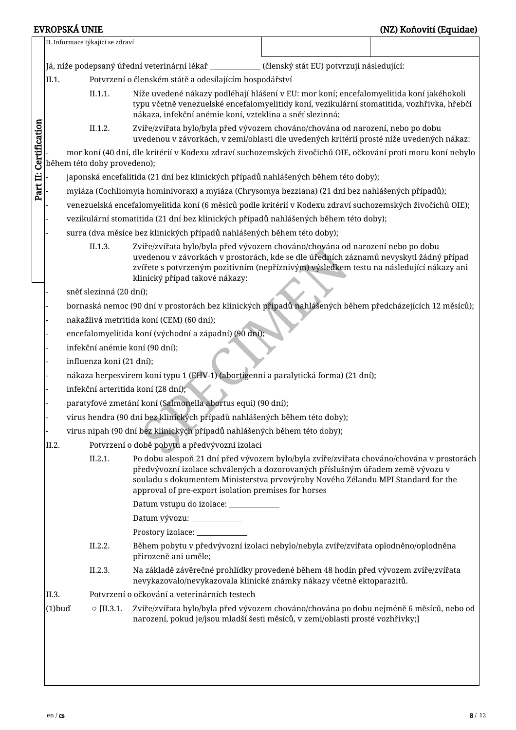|                                                                                                                                                                                                                                                                                                                                   |                                                                                                                                                                                                                                                              |  | II. Informace týkající se zdraví |                                                                                                                                                                                                                                                                                                     |                                                                                                                                                                            |  |  |  |
|-----------------------------------------------------------------------------------------------------------------------------------------------------------------------------------------------------------------------------------------------------------------------------------------------------------------------------------|--------------------------------------------------------------------------------------------------------------------------------------------------------------------------------------------------------------------------------------------------------------|--|----------------------------------|-----------------------------------------------------------------------------------------------------------------------------------------------------------------------------------------------------------------------------------------------------------------------------------------------------|----------------------------------------------------------------------------------------------------------------------------------------------------------------------------|--|--|--|
|                                                                                                                                                                                                                                                                                                                                   |                                                                                                                                                                                                                                                              |  |                                  | Já, níže podepsaný úřední veterinární lékař ____________(členský stát EU) potvrzuji následující:                                                                                                                                                                                                    |                                                                                                                                                                            |  |  |  |
|                                                                                                                                                                                                                                                                                                                                   | II.1.                                                                                                                                                                                                                                                        |  |                                  | Potvrzení o členském státě a odesílajícím hospodářství                                                                                                                                                                                                                                              |                                                                                                                                                                            |  |  |  |
|                                                                                                                                                                                                                                                                                                                                   | II.1.1.<br>Níže uvedené nákazy podléhají hlášení v EU: mor koní; encefalomyelitida koní jakéhokoli<br>typu včetně venezuelské encefalomyelitidy koní, vezikulární stomatitida, vozhřivka, hřebčí<br>nákaza, infekční anémie koní, vzteklina a sněť slezinná; |  |                                  |                                                                                                                                                                                                                                                                                                     |                                                                                                                                                                            |  |  |  |
| Part II: Certification                                                                                                                                                                                                                                                                                                            |                                                                                                                                                                                                                                                              |  | II.1.2.                          |                                                                                                                                                                                                                                                                                                     | Zvíře/zvířata bylo/byla před vývozem chováno/chována od narození, nebo po dobu<br>uvedenou v závorkách, v zemi/oblasti dle uvedených kritérií prosté níže uvedených nákaz: |  |  |  |
|                                                                                                                                                                                                                                                                                                                                   |                                                                                                                                                                                                                                                              |  | během této doby provedeno);      | mor koní (40 dní, dle kritérií v Kodexu zdraví suchozemských živočichů OIE, očkování proti moru koní nebylo                                                                                                                                                                                         |                                                                                                                                                                            |  |  |  |
| japonská encefalitida (21 dní bez klinických případů nahlášených během této doby);                                                                                                                                                                                                                                                |                                                                                                                                                                                                                                                              |  |                                  |                                                                                                                                                                                                                                                                                                     |                                                                                                                                                                            |  |  |  |
|                                                                                                                                                                                                                                                                                                                                   | myiáza (Cochliomyia hominivorax) a myiáza (Chrysomya bezziana) (21 dní bez nahlášených případů);                                                                                                                                                             |  |                                  |                                                                                                                                                                                                                                                                                                     |                                                                                                                                                                            |  |  |  |
|                                                                                                                                                                                                                                                                                                                                   |                                                                                                                                                                                                                                                              |  |                                  | venezuelská encefalomyelitida koní (6 měsíců podle kritérií v Kodexu zdraví suchozemských živočichů OIE);                                                                                                                                                                                           |                                                                                                                                                                            |  |  |  |
|                                                                                                                                                                                                                                                                                                                                   |                                                                                                                                                                                                                                                              |  |                                  | vezikulární stomatitida (21 dní bez klinických případů nahlášených během této doby);                                                                                                                                                                                                                |                                                                                                                                                                            |  |  |  |
|                                                                                                                                                                                                                                                                                                                                   |                                                                                                                                                                                                                                                              |  |                                  | surra (dva měsíce bez klinických případů nahlášených během této doby);                                                                                                                                                                                                                              |                                                                                                                                                                            |  |  |  |
|                                                                                                                                                                                                                                                                                                                                   |                                                                                                                                                                                                                                                              |  | II.1.3.                          | Zvíře/zvířata bylo/byla před vývozem chováno/chována od narození nebo po dobu<br>uvedenou v závorkách v prostorách, kde se dle úředních záznamů nevyskytl žádný případ<br>zvířete s potvrzeným pozitivním (nepříznivým) výsledkem testu na následující nákazy ani<br>klinický případ takové nákazy: |                                                                                                                                                                            |  |  |  |
|                                                                                                                                                                                                                                                                                                                                   |                                                                                                                                                                                                                                                              |  | sněť slezinná (20 dní);          |                                                                                                                                                                                                                                                                                                     |                                                                                                                                                                            |  |  |  |
|                                                                                                                                                                                                                                                                                                                                   |                                                                                                                                                                                                                                                              |  |                                  | bornaská nemoc (90 dní v prostorách bez klinických případů nahlášených během předcházejících 12 měsíců);                                                                                                                                                                                            |                                                                                                                                                                            |  |  |  |
|                                                                                                                                                                                                                                                                                                                                   |                                                                                                                                                                                                                                                              |  |                                  | nakažlivá metritida koní (CEM) (60 dní);                                                                                                                                                                                                                                                            |                                                                                                                                                                            |  |  |  |
|                                                                                                                                                                                                                                                                                                                                   |                                                                                                                                                                                                                                                              |  |                                  | encefalomyelitida koní (východní a západní) (90 dní);                                                                                                                                                                                                                                               |                                                                                                                                                                            |  |  |  |
|                                                                                                                                                                                                                                                                                                                                   |                                                                                                                                                                                                                                                              |  |                                  | infekční anémie koní (90 dní);                                                                                                                                                                                                                                                                      |                                                                                                                                                                            |  |  |  |
|                                                                                                                                                                                                                                                                                                                                   |                                                                                                                                                                                                                                                              |  | influenza koní (21 dní);         |                                                                                                                                                                                                                                                                                                     |                                                                                                                                                                            |  |  |  |
|                                                                                                                                                                                                                                                                                                                                   |                                                                                                                                                                                                                                                              |  |                                  | nákaza herpesvirem koní typu 1 (EHV-1) (abortigenní a paralytická forma) (21 dní);                                                                                                                                                                                                                  |                                                                                                                                                                            |  |  |  |
|                                                                                                                                                                                                                                                                                                                                   |                                                                                                                                                                                                                                                              |  |                                  | infekční arteritida koní (28 dní);                                                                                                                                                                                                                                                                  |                                                                                                                                                                            |  |  |  |
|                                                                                                                                                                                                                                                                                                                                   |                                                                                                                                                                                                                                                              |  |                                  | paratyfové zmetání koní (Salmonella abortus equi) (90 dní);                                                                                                                                                                                                                                         |                                                                                                                                                                            |  |  |  |
|                                                                                                                                                                                                                                                                                                                                   |                                                                                                                                                                                                                                                              |  |                                  | virus hendra (90 dní bez klinických případů nahlášených během této doby);                                                                                                                                                                                                                           |                                                                                                                                                                            |  |  |  |
|                                                                                                                                                                                                                                                                                                                                   |                                                                                                                                                                                                                                                              |  |                                  | virus nipah (90 dní bez klinických případů nahlášených během této doby);                                                                                                                                                                                                                            |                                                                                                                                                                            |  |  |  |
|                                                                                                                                                                                                                                                                                                                                   | II.2.                                                                                                                                                                                                                                                        |  |                                  | Potvrzení o době pobytu a předvývozní izolaci                                                                                                                                                                                                                                                       |                                                                                                                                                                            |  |  |  |
| Po dobu alespoň 21 dní před vývozem bylo/byla zvíře/zvířata chováno/chována v prostorách<br>II.2.1.<br>předvývozní izolace schválených a dozorovaných příslušným úřadem země vývozu v<br>souladu s dokumentem Ministerstva prvovýroby Nového Zélandu MPI Standard for the<br>approval of pre-export isolation premises for horses |                                                                                                                                                                                                                                                              |  |                                  |                                                                                                                                                                                                                                                                                                     |                                                                                                                                                                            |  |  |  |
|                                                                                                                                                                                                                                                                                                                                   |                                                                                                                                                                                                                                                              |  |                                  | Datum vstupu do izolace: ____________                                                                                                                                                                                                                                                               |                                                                                                                                                                            |  |  |  |
|                                                                                                                                                                                                                                                                                                                                   |                                                                                                                                                                                                                                                              |  |                                  | Datum vývozu: ____________                                                                                                                                                                                                                                                                          |                                                                                                                                                                            |  |  |  |
|                                                                                                                                                                                                                                                                                                                                   |                                                                                                                                                                                                                                                              |  |                                  |                                                                                                                                                                                                                                                                                                     |                                                                                                                                                                            |  |  |  |
|                                                                                                                                                                                                                                                                                                                                   |                                                                                                                                                                                                                                                              |  | II.2.2.                          | Během pobytu v předvývozní izolaci nebylo/nebyla zvíře/zvířata oplodněno/oplodněna<br>přirozeně ani uměle;                                                                                                                                                                                          |                                                                                                                                                                            |  |  |  |
| Na základě závěrečné prohlídky provedené během 48 hodin před vývozem zvíře/zvířata<br>II.2.3.<br>nevykazovalo/nevykazovala klinické známky nákazy včetně ektoparazitů.                                                                                                                                                            |                                                                                                                                                                                                                                                              |  |                                  |                                                                                                                                                                                                                                                                                                     |                                                                                                                                                                            |  |  |  |
|                                                                                                                                                                                                                                                                                                                                   | II.3.                                                                                                                                                                                                                                                        |  |                                  | Potvrzení o očkování a veterinárních testech                                                                                                                                                                                                                                                        |                                                                                                                                                                            |  |  |  |
|                                                                                                                                                                                                                                                                                                                                   | $(1)$ buď                                                                                                                                                                                                                                                    |  | $\circ$ [II.3.1.                 | Zvíře/zvířata bylo/byla před vývozem chováno/chována po dobu nejméně 6 měsíců, nebo od<br>narození, pokud je/jsou mladší šesti měsíců, v zemi/oblasti prosté vozhřivky;]                                                                                                                            |                                                                                                                                                                            |  |  |  |
|                                                                                                                                                                                                                                                                                                                                   |                                                                                                                                                                                                                                                              |  |                                  |                                                                                                                                                                                                                                                                                                     |                                                                                                                                                                            |  |  |  |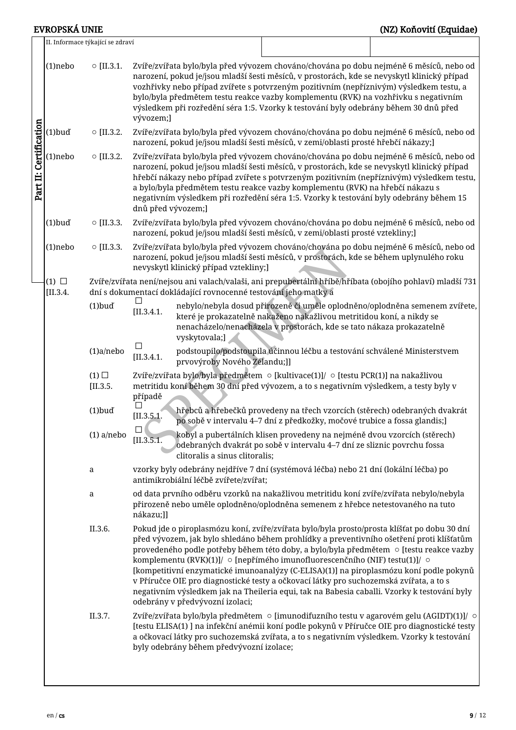### EVROPSKÁ UNIE (NZ) Koňovití (Equidae)

|                                                                                                                                         |                               | II. Informace týkající se zdraví |                                                                                                                                                                              |                                                                                                                                                                                                                                                                                                                                                                      |                                                                                                                                                                                                                                                                                                                                                                     |                                                                                                                                                                                                                                                                                                                                                                                                                                                                            |  |  |  |  |
|-----------------------------------------------------------------------------------------------------------------------------------------|-------------------------------|----------------------------------|------------------------------------------------------------------------------------------------------------------------------------------------------------------------------|----------------------------------------------------------------------------------------------------------------------------------------------------------------------------------------------------------------------------------------------------------------------------------------------------------------------------------------------------------------------|---------------------------------------------------------------------------------------------------------------------------------------------------------------------------------------------------------------------------------------------------------------------------------------------------------------------------------------------------------------------|----------------------------------------------------------------------------------------------------------------------------------------------------------------------------------------------------------------------------------------------------------------------------------------------------------------------------------------------------------------------------------------------------------------------------------------------------------------------------|--|--|--|--|
|                                                                                                                                         | $(1)$ nebo                    | $\circ$ [II.3.1.                 | vývozem;]                                                                                                                                                                    |                                                                                                                                                                                                                                                                                                                                                                      | narození, pokud je/jsou mladší šesti měsíců, v prostorách, kde se nevyskytl klinický případ<br>vozhřivky nebo případ zvířete s potvrzeným pozitivním (nepříznivým) výsledkem testu, a<br>bylo/byla předmětem testu reakce vazby komplementu (RVK) na vozhřivku s negativním<br>výsledkem při rozředění séra 1:5. Vzorky k testování byly odebrány během 30 dnů před | Zvíře/zvířata bylo/byla před vývozem chováno/chována po dobu nejméně 6 měsíců, nebo od                                                                                                                                                                                                                                                                                                                                                                                     |  |  |  |  |
|                                                                                                                                         | $(1)$ buď                     | $\circ$ [II.3.2.                 | Zvíře/zvířata bylo/byla před vývozem chováno/chována po dobu nejméně 6 měsíců, nebo od<br>narození, pokud je/jsou mladší šesti měsíců, v zemi/oblasti prosté hřebčí nákazy;] |                                                                                                                                                                                                                                                                                                                                                                      |                                                                                                                                                                                                                                                                                                                                                                     |                                                                                                                                                                                                                                                                                                                                                                                                                                                                            |  |  |  |  |
| Part II: Certification                                                                                                                  | (1)nebo                       | $\circ$ [II.3.2.                 | dnů před vývozem;]                                                                                                                                                           |                                                                                                                                                                                                                                                                                                                                                                      | narození, pokud je/jsou mladší šesti měsíců, v prostorách, kde se nevyskytl klinický případ<br>a bylo/byla předmětem testu reakce vazby komplementu (RVK) na hřebčí nákazu s<br>negativním výsledkem při rozředění séra 1:5. Vzorky k testování byly odebrány během 15                                                                                              | Zvíře/zvířata bylo/byla před vývozem chováno/chována po dobu nejméně 6 měsíců, nebo od<br>hřebčí nákazy nebo případ zvířete s potvrzeným pozitivním (nepříznivým) výsledkem testu,                                                                                                                                                                                                                                                                                         |  |  |  |  |
|                                                                                                                                         | $(1)$ buď                     | $\circ$ [II.3.3.                 |                                                                                                                                                                              |                                                                                                                                                                                                                                                                                                                                                                      | narození, pokud je/jsou mladší šesti měsíců, v zemi/oblasti prosté vztekliny;]                                                                                                                                                                                                                                                                                      | Zvíře/zvířata bylo/byla před vývozem chováno/chována po dobu nejméně 6 měsíců, nebo od                                                                                                                                                                                                                                                                                                                                                                                     |  |  |  |  |
|                                                                                                                                         | $(1)$ nebo                    | $\circ$ [II.3.3.                 |                                                                                                                                                                              | nevyskytl klinický případ vztekliny;]                                                                                                                                                                                                                                                                                                                                | narození, pokud je/jsou mladší šesti měsíců, v prostorách, kde se během uplynulého roku                                                                                                                                                                                                                                                                             | Zvíře/zvířata bylo/byla před vývozem chováno/chována po dobu nejméně 6 měsíců, nebo od                                                                                                                                                                                                                                                                                                                                                                                     |  |  |  |  |
|                                                                                                                                         | $(1)$ $\square$<br>$[II.3.4.$ |                                  |                                                                                                                                                                              | dní s dokumentací dokládající rovnocenné testování jeho matky a                                                                                                                                                                                                                                                                                                      |                                                                                                                                                                                                                                                                                                                                                                     | Zvíře/zvířata není/nejsou ani valach/valaši, ani prepubertální hříbě/hříbata (obojího pohlaví) mladší 731                                                                                                                                                                                                                                                                                                                                                                  |  |  |  |  |
|                                                                                                                                         |                               | $(1)$ buď                        | [II.3.4.1]                                                                                                                                                                   | vyskytovala;]                                                                                                                                                                                                                                                                                                                                                        | které je prokazatelně nakaženo nakažlivou metritidou koní, a nikdy se<br>nenacházelo/nenacházela v prostorách, kde se tato nákaza prokazatelně                                                                                                                                                                                                                      | nebylo/nebyla dosud přirozeně či uměle oplodněno/oplodněna semenem zvířete,                                                                                                                                                                                                                                                                                                                                                                                                |  |  |  |  |
| podstoupilo/podstoupila účinnou léčbu a testování schválené Ministerstvem<br>$(1)a$ /nebo<br>[II.3.4.1]<br>prvovýroby Nového Zélandu;]] |                               |                                  |                                                                                                                                                                              |                                                                                                                                                                                                                                                                                                                                                                      |                                                                                                                                                                                                                                                                                                                                                                     |                                                                                                                                                                                                                                                                                                                                                                                                                                                                            |  |  |  |  |
|                                                                                                                                         |                               | $(1)$ $\square$<br>$[II.3.5.$    | případě                                                                                                                                                                      |                                                                                                                                                                                                                                                                                                                                                                      | Zvíře/zvířata bylo/byla předmětem o [kultivace(1)]/ o [testu PCR(1)] na nakažlivou<br>metritidu koní během 30 dní před vývozem, a to s negativním výsledkem, a testy byly v                                                                                                                                                                                         |                                                                                                                                                                                                                                                                                                                                                                                                                                                                            |  |  |  |  |
|                                                                                                                                         |                               | $(1)$ buď                        | [II.3.5.1]                                                                                                                                                                   |                                                                                                                                                                                                                                                                                                                                                                      | hřebců a hřebečků provedeny na třech vzorcích (stěrech) odebraných dvakrát<br>po sobě v intervalu 4–7 dní z předkožky, močové trubice a fossa glandis;]                                                                                                                                                                                                             |                                                                                                                                                                                                                                                                                                                                                                                                                                                                            |  |  |  |  |
|                                                                                                                                         |                               | $(1)$ a/nebo                     | $\Box$<br>[II.3.5.1.]                                                                                                                                                        | clitoralis a sinus clitoralis;                                                                                                                                                                                                                                                                                                                                       | kobyl a pubertálních klisen provedeny na nejméně dvou vzorcích (stěrech)<br>odebraných dvakrát po sobě v intervalu 4–7 dní ze sliznic povrchu fossa                                                                                                                                                                                                                 |                                                                                                                                                                                                                                                                                                                                                                                                                                                                            |  |  |  |  |
|                                                                                                                                         |                               | a                                |                                                                                                                                                                              | antimikrobiální léčbě zvířete/zvířat;                                                                                                                                                                                                                                                                                                                                | vzorky byly odebrány nejdříve 7 dní (systémová léčba) nebo 21 dní (lokální léčba) po                                                                                                                                                                                                                                                                                |                                                                                                                                                                                                                                                                                                                                                                                                                                                                            |  |  |  |  |
|                                                                                                                                         |                               | a                                | nákazu;]]                                                                                                                                                                    |                                                                                                                                                                                                                                                                                                                                                                      | od data prvního odběru vzorků na nakažlivou metritidu koní zvíře/zvířata nebylo/nebyla<br>přirozeně nebo uměle oplodněno/oplodněna semenem z hřebce netestovaného na tuto                                                                                                                                                                                           |                                                                                                                                                                                                                                                                                                                                                                                                                                                                            |  |  |  |  |
|                                                                                                                                         |                               | II.3.6.                          |                                                                                                                                                                              |                                                                                                                                                                                                                                                                                                                                                                      | komplementu (RVK)(1)]/ $\circ$ [nepřímého imunofluorescenčního (NIF) testu(1)]/ $\circ$<br>v Příručce OIE pro diagnostické testy a očkovací látky pro suchozemská zvířata, a to s                                                                                                                                                                                   | Pokud jde o piroplasmózu koní, zvíře/zvířata bylo/byla prosto/prosta klíšťat po dobu 30 dní<br>před vývozem, jak bylo shledáno během prohlídky a preventivního ošetření proti klíšťatům<br>provedeného podle potřeby během této doby, a bylo/byla předmětem ○ [testu reakce vazby<br>[kompetitivní enzymatické imunoanalýzy (C-ELISA)(1)] na piroplasmózu koní podle pokynů<br>negativním výsledkem jak na Theileria equi, tak na Babesia caballi. Vzorky k testování byly |  |  |  |  |
|                                                                                                                                         |                               | II.3.7.                          |                                                                                                                                                                              | odebrány v předvývozní izolaci;<br>Zvíře/zvířata bylo/byla předmětem o [imunodifuzního testu v agarovém gelu (AGIDT)(1)]/ o<br>[testu ELISA(1) ] na infekční anémii koní podle pokynů v Příručce OIE pro diagnostické testy<br>a očkovací látky pro suchozemská zvířata, a to s negativním výsledkem. Vzorky k testování<br>byly odebrány během předvývozní izolace; |                                                                                                                                                                                                                                                                                                                                                                     |                                                                                                                                                                                                                                                                                                                                                                                                                                                                            |  |  |  |  |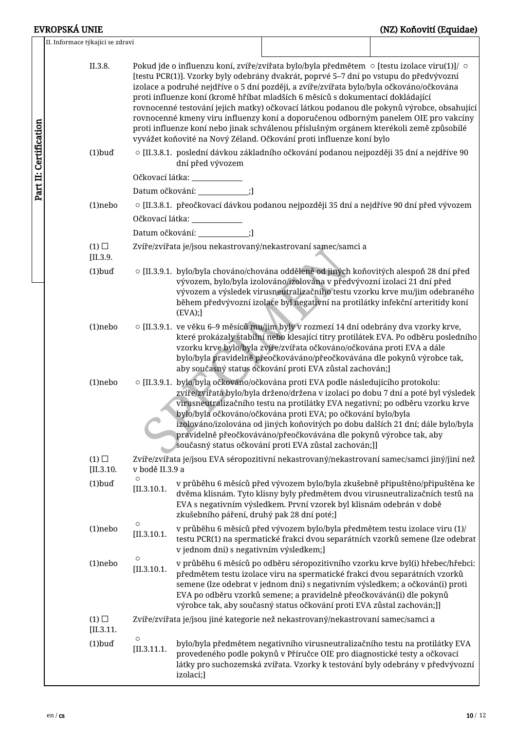| II. Informace týkající se zdraví |                        |                                            |                                                                                                                                                                                                                                                                                                                                                                                                                                                                                                                                                                                                                                                                                                                                   |  |
|----------------------------------|------------------------|--------------------------------------------|-----------------------------------------------------------------------------------------------------------------------------------------------------------------------------------------------------------------------------------------------------------------------------------------------------------------------------------------------------------------------------------------------------------------------------------------------------------------------------------------------------------------------------------------------------------------------------------------------------------------------------------------------------------------------------------------------------------------------------------|--|
| II.3.8.                          |                        |                                            | Pokud jde o influenzu koní, zvíře/zvířata bylo/byla předmětem $\circ$ [testu izolace viru(1)]/ $\circ$<br>[testu PCR(1)]. Vzorky byly odebrány dvakrát, poprvé 5–7 dní po vstupu do předvývozní<br>izolace a podruhé nejdříve o 5 dní později, a zvíře/zvířata bylo/byla očkováno/očkována<br>proti influenze koní (kromě hříbat mladších 6 měsíců s dokumentací dokládající<br>rovnocenné testování jejich matky) očkovací látkou podanou dle pokynů výrobce, obsahující<br>rovnocenné kmeny viru influenzy koní a doporučenou odborným panelem OIE pro vakcíny<br>proti influenze koní nebo jinak schválenou příslušným orgánem kterékoli země způsobilé<br>vyvážet koňovité na Nový Zéland. Očkování proti influenze koní bylo |  |
| $(1)$ buď                        |                        | dní před vývozem                           | $\circ$ [II.3.8.1. poslední dávkou základního očkování podanou nejpozději 35 dní a nejdříve 90                                                                                                                                                                                                                                                                                                                                                                                                                                                                                                                                                                                                                                    |  |
|                                  |                        | Očkovací látka: ____________               |                                                                                                                                                                                                                                                                                                                                                                                                                                                                                                                                                                                                                                                                                                                                   |  |
|                                  |                        | Datum očkování: ___________;]              |                                                                                                                                                                                                                                                                                                                                                                                                                                                                                                                                                                                                                                                                                                                                   |  |
| $(1)$ nebo                       |                        |                                            | $\circ$ [II.3.8.1. přeočkovací dávkou podanou nejpozději 35 dní a nejdříve 90 dní před vývozem                                                                                                                                                                                                                                                                                                                                                                                                                                                                                                                                                                                                                                    |  |
|                                  |                        | Očkovací látka: ____________               |                                                                                                                                                                                                                                                                                                                                                                                                                                                                                                                                                                                                                                                                                                                                   |  |
|                                  |                        | Datum očkování: ____________;]             |                                                                                                                                                                                                                                                                                                                                                                                                                                                                                                                                                                                                                                                                                                                                   |  |
| $(1)$ $\square$<br>[II.3.9]      |                        |                                            | Zvíře/zvířata je/jsou nekastrovaný/nekastrovaní samec/samci a                                                                                                                                                                                                                                                                                                                                                                                                                                                                                                                                                                                                                                                                     |  |
| $(1)$ buď                        |                        | (EVA);                                     | o [II.3.9.1. bylo/byla chováno/chována odděleně od jiných koňovitých alespoň 28 dní před<br>vývozem, bylo/byla izolováno/izolována v předvývozní izolaci 21 dní před<br>vývozem a výsledek virusneutralizačního testu vzorku krve mu/jim odebraného<br>během předvývozní izolace byl negativní na protilátky infekční arteritidy koní                                                                                                                                                                                                                                                                                                                                                                                             |  |
| $(1)$ nebo                       |                        |                                            | o [II.3.9.1. ve věku 6–9 měsíců mu/jim byly v rozmezí 14 dní odebrány dva vzorky krve,<br>které prokázaly stabilní nebo klesající titry protilátek EVA. Po odběru posledního<br>vzorku krve bylo/byla zvíře/zvířata očkováno/očkována proti EVA a dále<br>bylo/byla pravidelně přeočkováváno/přeočkovávána dle pokynů výrobce tak,<br>aby současný status očkování proti EVA zůstal zachován;]                                                                                                                                                                                                                                                                                                                                    |  |
| $(1)$ nebo                       |                        |                                            | $\circ$ [II.3.9.1. bylo/byla očkováno/očkována proti EVA podle následujícího protokolu:<br>zvíře/zvířata bylo/byla drženo/držena v izolaci po dobu 7 dní a poté byl výsledek<br>virusneutralizačního testu na protilátky EVA negativní; po odběru vzorku krve<br>bylo/byla očkováno/očkována proti EVA; po očkování bylo/byla<br>izolováno/izolována od jiných koňovitých po dobu dalších 21 dní; dále bylo/byla<br>pravidelně přeočkováváno/přeočkovávána dle pokynů výrobce tak, aby<br>současný status očkování proti EVA zůstal zachován;]]                                                                                                                                                                                   |  |
| $(1)$ $\square$<br>[II.3.10.     | v bodě II.3.9 a        |                                            | Zvíře/zvířata je/jsou EVA séropozitivní nekastrovaný/nekastrovaní samec/samci jiný/jiní než                                                                                                                                                                                                                                                                                                                                                                                                                                                                                                                                                                                                                                       |  |
| $(1)$ buď                        | $\circ$<br>[II.3.10.1] | zkušebního páření, druhý pak 28 dní poté;] | v průběhu 6 měsíců před vývozem bylo/byla zkušebně připuštěno/připuštěna ke<br>dvěma klisnám. Tyto klisny byly předmětem dvou virusneutralizačních testů na<br>EVA s negativním výsledkem. První vzorek byl klisnám odebrán v době                                                                                                                                                                                                                                                                                                                                                                                                                                                                                                |  |
| $(1)$ nebo                       | $\circ$<br>[II.3.10.1] | v jednom dni) s negativním výsledkem;]     | v průběhu 6 měsíců před vývozem bylo/byla předmětem testu izolace viru (1)/<br>testu PCR(1) na spermatické frakci dvou separátních vzorků semene (lze odebrat                                                                                                                                                                                                                                                                                                                                                                                                                                                                                                                                                                     |  |
| $(1)$ nebo                       | $\circ$<br>[II.3.10.1] |                                            | v průběhu 6 měsíců po odběru séropozitivního vzorku krve byl(i) hřebec/hřebci:<br>předmětem testu izolace viru na spermatické frakci dvou separátních vzorků<br>semene (lze odebrat v jednom dni) s negativním výsledkem; a očkován(i) proti<br>EVA po odběru vzorků semene; a pravidelně přeočkováván(i) dle pokynů<br>výrobce tak, aby současný status očkování proti EVA zůstal zachován;]]                                                                                                                                                                                                                                                                                                                                    |  |
| $(1)$ $\square$<br>[II.3.11]     |                        |                                            | Zvíře/zvířata je/jsou jiné kategorie než nekastrovaný/nekastrovaní samec/samci a                                                                                                                                                                                                                                                                                                                                                                                                                                                                                                                                                                                                                                                  |  |
| $(1)$ buď                        | $\circ$<br>[II.3.11.1] | izolaci;]                                  | bylo/byla předmětem negativního virusneutralizačního testu na protilátky EVA<br>provedeného podle pokynů v Příručce OIE pro diagnostické testy a očkovací<br>látky pro suchozemská zvířata. Vzorky k testování byly odebrány v předvývozní                                                                                                                                                                                                                                                                                                                                                                                                                                                                                        |  |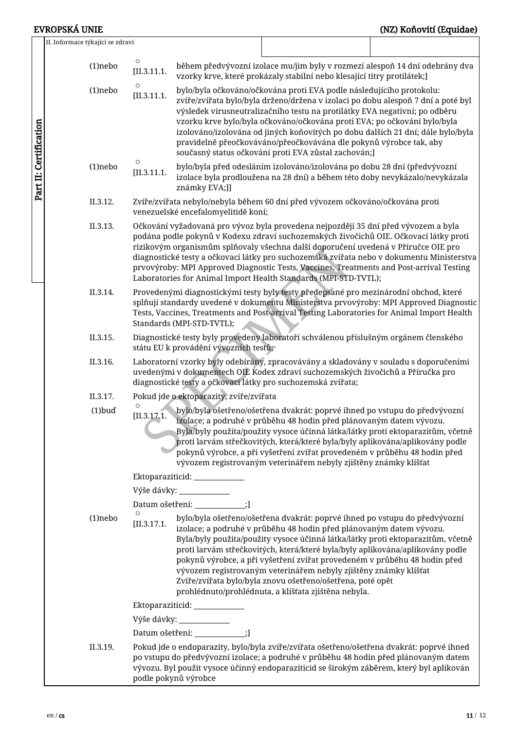Part II: Certification Part II: Certification

## EVROPSKÁ UNIE (NZ) Koňovití (Equidae)

| II. Informace týkající se zdraví |                        |                                         |                                                                                                                                                                                                                                                                                                                                                                                                                                                                                                                                                                                              |  |
|----------------------------------|------------------------|-----------------------------------------|----------------------------------------------------------------------------------------------------------------------------------------------------------------------------------------------------------------------------------------------------------------------------------------------------------------------------------------------------------------------------------------------------------------------------------------------------------------------------------------------------------------------------------------------------------------------------------------------|--|
| $(1)$ nebo                       | $\circ$<br>[II.3.11.1] |                                         | během předvývozní izolace mu/jim byly v rozmezí alespoň 14 dní odebrány dva<br>vzorky krve, které prokázaly stabilní nebo klesající titry protilátek;]                                                                                                                                                                                                                                                                                                                                                                                                                                       |  |
| $(1)$ nebo                       | O<br>[II.3.11.1]       |                                         | bylo/byla očkováno/očkována proti EVA podle následujícího protokolu:<br>zvíře/zvířata bylo/byla drženo/držena v izolaci po dobu alespoň 7 dní a poté byl<br>výsledek virusneutralizačního testu na protilátky EVA negativní; po odběru<br>vzorku krve bylo/byla očkováno/očkována proti EVA; po očkování bylo/byla<br>izolováno/izolována od jiných koňovitých po dobu dalších 21 dní; dále bylo/byla<br>pravidelně přeočkováváno/přeočkovávána dle pokynů výrobce tak, aby<br>současný status očkování proti EVA zůstal zachován;]                                                          |  |
| $(1)$ nebo                       | O<br>[II.3.11.1]       | známky EVA;]]                           | bylo/byla před odesláním izolováno/izolována po dobu 28 dní (předvývozní<br>izolace byla prodloužena na 28 dní) a během této doby nevykázalo/nevykázala                                                                                                                                                                                                                                                                                                                                                                                                                                      |  |
| II.3.12.                         |                        | venezuelské encefalomyelitidě koní;     | Zvíře/zvířata nebylo/nebyla během 60 dní před vývozem očkováno/očkována proti                                                                                                                                                                                                                                                                                                                                                                                                                                                                                                                |  |
| II.3.13.                         |                        |                                         | Očkování vyžadovaná pro vývoz byla provedena nejpozději 35 dní před vývozem a byla<br>podána podle pokynů v Kodexu zdraví suchozemských živočichů OIE. Očkovací látky proti<br>rizikovým organismům splňovaly všechna další doporučení uvedená v Příručce OIE pro<br>diagnostické testy a očkovací látky pro suchozemská zvířata nebo v dokumentu Ministerstva<br>prvovýroby: MPI Approved Diagnostic Tests, Vaccines, Treatments and Post-arrival Testing<br>Laboratories for Animal Import Health Standards (MPI-STD-TVTL);                                                                |  |
| II.3.14.                         |                        | Standards (MPI-STD-TVTL);               | Provedenými diagnostickými testy byly testy předepsané pro mezinárodní obchod, které<br>splňují standardy uvedené v dokumentu Ministerstva prvovýroby: MPI Approved Diagnostic<br>Tests, Vaccines, Treatments and Post-arrival Testing Laboratories for Animal Import Health                                                                                                                                                                                                                                                                                                                 |  |
| II.3.15.                         |                        | státu EU k provádění vývozních testů;   | Diagnostické testy byly provedeny laboratoří schválenou příslušným orgánem členského                                                                                                                                                                                                                                                                                                                                                                                                                                                                                                         |  |
| II.3.16.                         |                        |                                         | Laboratorní vzorky byly odebírány, zpracovávány a skladovány v souladu s doporučeními<br>uvedenými v dokumentech OIE Kodex zdraví suchozemských živočichů a Příručka pro<br>diagnostické testy a očkovací látky pro suchozemská zvířata;                                                                                                                                                                                                                                                                                                                                                     |  |
| II.3.17.                         |                        | Pokud jde o ektoparazity, zvíře/zvířata |                                                                                                                                                                                                                                                                                                                                                                                                                                                                                                                                                                                              |  |
| $(1)$ buď                        | [II.3.17.1]            |                                         | bylo/byla ošetřeno/ošetřena dvakrát: poprvé ihned po vstupu do předvývozní<br>izolace; a podruhé v průběhu 48 hodin před plánovaným datem vývozu.<br>Byla/byly použita/použity vysoce účinná látka/látky proti ektoparazitům, včetně<br>proti larvám střečkovitých, která/které byla/byly aplikována/aplikovány podle<br>pokynů výrobce, a při vyšetření zvířat provedeném v průběhu 48 hodin před<br>vývozem registrovaným veterinářem nebyly zjištěny známky klíšťat                                                                                                                       |  |
|                                  |                        | Ektoparaziticid: _____________          |                                                                                                                                                                                                                                                                                                                                                                                                                                                                                                                                                                                              |  |
|                                  |                        |                                         |                                                                                                                                                                                                                                                                                                                                                                                                                                                                                                                                                                                              |  |
|                                  |                        | Datum ošetření: ____________;]          |                                                                                                                                                                                                                                                                                                                                                                                                                                                                                                                                                                                              |  |
| $(1)$ nebo                       | $\circ$<br>[II.3.17.1] |                                         | bylo/byla ošetřeno/ošetřena dvakrát: poprvé ihned po vstupu do předvývozní<br>izolace; a podruhé v průběhu 48 hodin před plánovaným datem vývozu.<br>Byla/byly použita/použity vysoce účinná látka/látky proti ektoparazitům, včetně<br>proti larvám střečkovitých, která/které byla/byly aplikována/aplikovány podle<br>pokynů výrobce, a při vyšetření zvířat provedeném v průběhu 48 hodin před<br>vývozem registrovaným veterinářem nebyly zjištěny známky klíšťat<br>Zvíře/zvířata bylo/byla znovu ošetřeno/ošetřena, poté opět<br>prohlédnuto/prohlédnuta, a klíšťata zjištěna nebyla. |  |
|                                  |                        | Ektoparaziticid: ____________           |                                                                                                                                                                                                                                                                                                                                                                                                                                                                                                                                                                                              |  |
|                                  |                        | Výše dávky: ____________                |                                                                                                                                                                                                                                                                                                                                                                                                                                                                                                                                                                                              |  |
|                                  |                        | Datum ošetření: ____________;]          |                                                                                                                                                                                                                                                                                                                                                                                                                                                                                                                                                                                              |  |
| II.3.19.                         |                        | podle pokynů výrobce                    | Pokud jde o endoparazity, bylo/byla zvíře/zvířata ošetřeno/ošetřena dvakrát: poprvé ihned<br>po vstupu do předvývozní izolace; a podruhé v průběhu 48 hodin před plánovaným datem<br>vývozu. Byl použit vysoce účinný endoparaziticid se širokým záběrem, který byl aplikován                                                                                                                                                                                                                                                                                                                |  |